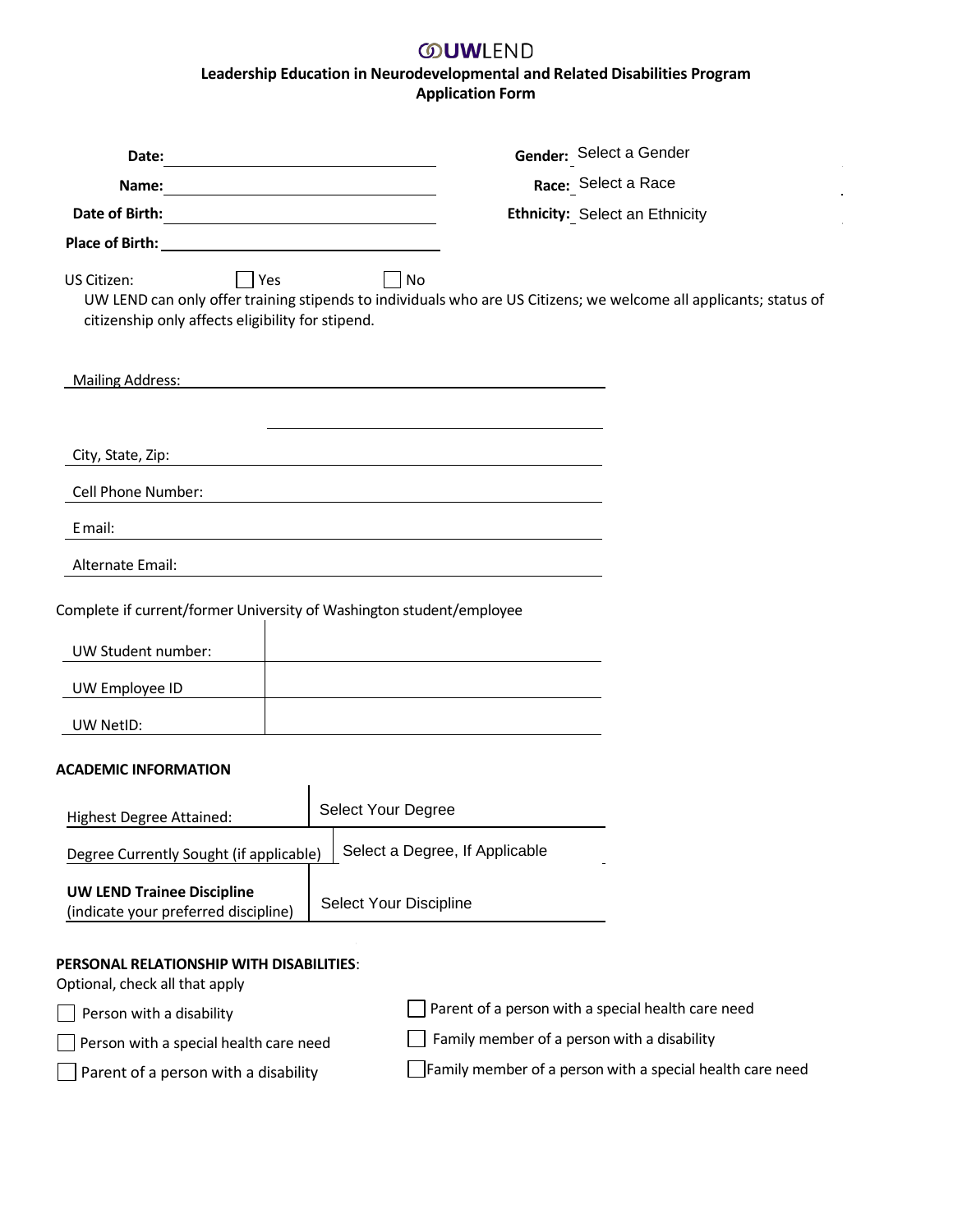## **OUWLEND Leadership Education in Neurodevelopmental and Related Disabilities Program Application Form**

 $\hat{\mathcal{A}}$ 

| Date:                                                                                                                          |                                                                                                                         | Gender: Select a Gender                                   |
|--------------------------------------------------------------------------------------------------------------------------------|-------------------------------------------------------------------------------------------------------------------------|-----------------------------------------------------------|
| Name:<br><u> 1989 - Johann Harry Harry Harry Harry Harry Harry Harry Harry Harry Harry Harry Harry Harry Harry Harry Harry</u> |                                                                                                                         | Race: Select a Race                                       |
|                                                                                                                                |                                                                                                                         | Ethnicity: Select an Ethnicity                            |
| <b>Place of Birth: Example 2018</b>                                                                                            |                                                                                                                         |                                                           |
| $\bigcap$ Yes<br>US Citizen:<br>citizenship only affects eligibility for stipend.                                              | No<br>UW LEND can only offer training stipends to individuals who are US Citizens; we welcome all applicants; status of |                                                           |
| <b>Mailing Address:</b>                                                                                                        |                                                                                                                         |                                                           |
| City, State, Zip:                                                                                                              |                                                                                                                         |                                                           |
| Cell Phone Number:                                                                                                             |                                                                                                                         |                                                           |
| E mail:                                                                                                                        |                                                                                                                         |                                                           |
| Alternate Email:                                                                                                               |                                                                                                                         |                                                           |
| Complete if current/former University of Washington student/employee                                                           |                                                                                                                         |                                                           |
| UW Student number:                                                                                                             |                                                                                                                         |                                                           |
| UW Employee ID                                                                                                                 |                                                                                                                         |                                                           |
| UW NetID:                                                                                                                      |                                                                                                                         |                                                           |
| <b>ACADEMIC INFORMATION</b>                                                                                                    |                                                                                                                         |                                                           |
| <b>Highest Degree Attained:</b>                                                                                                | Select Your Degree                                                                                                      |                                                           |
| Degree Currently Sought (if applicable)                                                                                        | Select a Degree, If Applicable                                                                                          |                                                           |
| <b>UW LEND Trainee Discipline</b><br>(indicate your preferred discipline)                                                      | Select Your Discipline                                                                                                  |                                                           |
| <b>PERSONAL RELATIONSHIP WITH DISABILITIES:</b><br>Optional, check all that apply                                              |                                                                                                                         |                                                           |
| Person with a disability                                                                                                       |                                                                                                                         | Parent of a person with a special health care need        |
| Person with a special health care need                                                                                         | Family member of a person with a disability                                                                             |                                                           |
| Parent of a person with a disability                                                                                           |                                                                                                                         | Family member of a person with a special health care need |